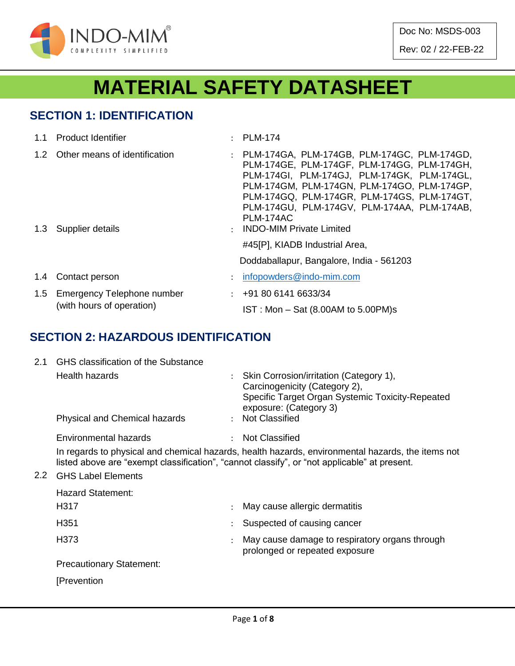

Doc No: MSDS-003

Rev: 02 / 22-FEB-22

# **MATERIAL SAFETY DATASHEET**

## **SECTION 1: IDENTIFICATION**

|     | 1.1 Product Identifier                                      | : PLM-174                                                                                                                                                                                                                                                                                                    |
|-----|-------------------------------------------------------------|--------------------------------------------------------------------------------------------------------------------------------------------------------------------------------------------------------------------------------------------------------------------------------------------------------------|
|     | 1.2 Other means of identification                           | : PLM-174GA, PLM-174GB, PLM-174GC, PLM-174GD,<br>PLM-174GE, PLM-174GF, PLM-174GG, PLM-174GH,<br>PLM-174GI, PLM-174GJ, PLM-174GK, PLM-174GL,<br>PLM-174GM, PLM-174GN, PLM-174GO, PLM-174GP,<br>PLM-174GQ, PLM-174GR, PLM-174GS, PLM-174GT,<br>PLM-174GU, PLM-174GV, PLM-174AA, PLM-174AB,<br><b>PLM-174AC</b> |
|     | 1.3 Supplier details                                        | : INDO-MIM Private Limited<br>#45[P], KIADB Industrial Area,                                                                                                                                                                                                                                                 |
|     |                                                             | Doddaballapur, Bangalore, India - 561203                                                                                                                                                                                                                                                                     |
| 1.4 | Contact person                                              | $\therefore$ infopowders@indo-mim.com                                                                                                                                                                                                                                                                        |
|     | 1.5 Emergency Telephone number<br>(with hours of operation) | $\div$ +91 80 6141 6633/34<br>$IST: Mon - Sat (8.00AM to 5.00PM)s$                                                                                                                                                                                                                                           |

## **SECTION 2: HAZARDOUS IDENTIFICATION**

| 2.1 | <b>GHS classification of the Substance</b> |  |                                                                                                  |  |  |  |  |
|-----|--------------------------------------------|--|--------------------------------------------------------------------------------------------------|--|--|--|--|
|     | Health hazards                             |  | Skin Corrosion/irritation (Category 1),                                                          |  |  |  |  |
|     |                                            |  | Carcinogenicity (Category 2),                                                                    |  |  |  |  |
|     |                                            |  | Specific Target Organ Systemic Toxicity-Repeated<br>exposure: (Category 3)                       |  |  |  |  |
|     | Physical and Chemical hazards              |  | : Not Classified                                                                                 |  |  |  |  |
|     | Environmental hazards                      |  | <b>Not Classified</b>                                                                            |  |  |  |  |
|     |                                            |  | In regards to physical and chemical hazards, health hazards, environmental hazards, the items no |  |  |  |  |

In regards to physical and chemical hazards, health hazards, environmental hazards, the items not listed above are "exempt classification", "cannot classify", or "not applicable" at present.

#### 2.2 GHS Label Elements

| <b>Hazard Statement:</b>        |                      |                                                                                  |  |  |
|---------------------------------|----------------------|----------------------------------------------------------------------------------|--|--|
| H317                            |                      | May cause allergic dermatitis                                                    |  |  |
| H <sub>351</sub>                |                      | Suspected of causing cancer                                                      |  |  |
| H373                            | $\ddot{\phantom{0}}$ | May cause damage to respiratory organs through<br>prolonged or repeated exposure |  |  |
| <b>Precautionary Statement:</b> |                      |                                                                                  |  |  |
| [Prevention]                    |                      |                                                                                  |  |  |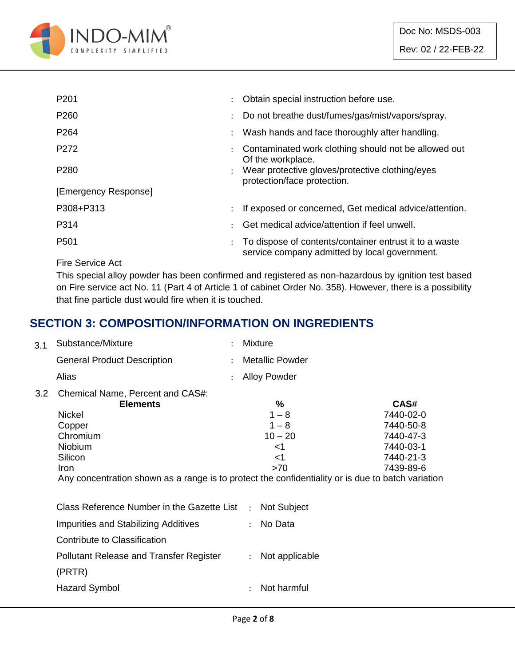

| P <sub>201</sub>     |                      | Obtain special instruction before use.                                                                  |
|----------------------|----------------------|---------------------------------------------------------------------------------------------------------|
| P260                 |                      | Do not breathe dust/fumes/gas/mist/vapors/spray.                                                        |
| P <sub>264</sub>     | $\ddot{\phantom{a}}$ | Wash hands and face thoroughly after handling.                                                          |
| P <sub>272</sub>     |                      | Contaminated work clothing should not be allowed out<br>Of the workplace.                               |
| P <sub>280</sub>     |                      | Wear protective gloves/protective clothing/eyes<br>protection/face protection.                          |
| [Emergency Response] |                      |                                                                                                         |
| P308+P313            |                      | If exposed or concerned, Get medical advice/attention.                                                  |
| P314                 |                      | Get medical advice/attention if feel unwell.                                                            |
| P <sub>501</sub>     |                      | To dispose of contents/container entrust it to a waste<br>service company admitted by local government. |

Fire Service Act

This special alloy powder has been confirmed and registered as non-hazardous by ignition test based on Fire service act No. 11 (Part 4 of Article 1 of cabinet Order No. 358). However, there is a possibility that fine particle dust would fire when it is touched.

## **SECTION 3: COMPOSITION/INFORMATION ON INGREDIENTS**

| 3.1 | Substance/Mixture                                                                                                                                                                                                                    | Mixture                                                       |                                                                                    |
|-----|--------------------------------------------------------------------------------------------------------------------------------------------------------------------------------------------------------------------------------------|---------------------------------------------------------------|------------------------------------------------------------------------------------|
|     | <b>General Product Description</b>                                                                                                                                                                                                   | <b>Metallic Powder</b>                                        |                                                                                    |
|     | Alias                                                                                                                                                                                                                                | <b>Alloy Powder</b>                                           |                                                                                    |
| 3.2 | Chemical Name, Percent and CAS#:<br><b>Elements</b><br><b>Nickel</b><br>Copper<br>Chromium<br>Niobium<br>Silicon<br><b>Iron</b><br>Any concentration shown as a range is to protect the confidentiality or is due to batch variation | %<br>$1 - 8$<br>$1 - 8$<br>$10 - 20$<br>$<$ 1<br>$<$ 1<br>>70 | CAS#<br>7440-02-0<br>7440-50-8<br>7440-47-3<br>7440-03-1<br>7440-21-3<br>7439-89-6 |
|     | Class Reference Number in the Gazette List                                                                                                                                                                                           | <b>Not Subject</b><br>$\ddot{\cdot}$                          |                                                                                    |
|     | <b>Impurities and Stabilizing Additives</b>                                                                                                                                                                                          | No Data<br>$\ddot{\phantom{a}}$                               |                                                                                    |
|     | Contribute to Classification                                                                                                                                                                                                         |                                                               |                                                                                    |
|     | <b>Pollutant Release and Transfer Register</b><br>(PRTR)                                                                                                                                                                             | Not applicable<br>$\ddot{\cdot}$                              |                                                                                    |
|     | <b>Hazard Symbol</b>                                                                                                                                                                                                                 | Not harmful<br>$\ddot{\cdot}$                                 |                                                                                    |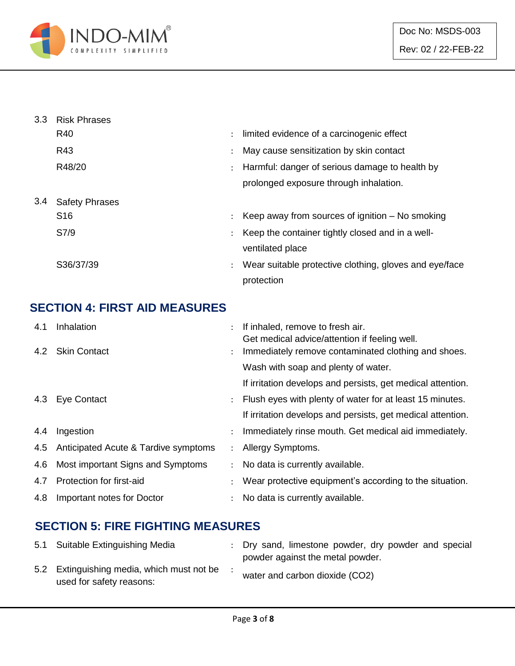

| 3.3 | <b>Risk Phrases</b>   |                |                                                        |
|-----|-----------------------|----------------|--------------------------------------------------------|
|     | R40                   | $\ddot{\cdot}$ | limited evidence of a carcinogenic effect              |
|     | R43                   | $\ddot{\cdot}$ | May cause sensitization by skin contact                |
|     | R48/20                | $\ddot{\cdot}$ | Harmful: danger of serious damage to health by         |
|     |                       |                | prolonged exposure through inhalation.                 |
| 3.4 | <b>Safety Phrases</b> |                |                                                        |
|     | S <sub>16</sub>       | $\ddot{\cdot}$ | Keep away from sources of ignition $-$ No smoking      |
|     | S7/9                  | $\ddot{\cdot}$ | Keep the container tightly closed and in a well-       |
|     |                       |                | ventilated place                                       |
|     | S36/37/39             | ÷              | Wear suitable protective clothing, gloves and eye/face |
|     |                       |                | protection                                             |

## **SECTION 4: FIRST AID MEASURES**

| 4.1 | Inhalation                           |                      | If inhaled, remove to fresh air.<br>Get medical advice/attention if feeling well. |
|-----|--------------------------------------|----------------------|-----------------------------------------------------------------------------------|
|     | 4.2 Skin Contact                     |                      | Immediately remove contaminated clothing and shoes.                               |
|     |                                      |                      | Wash with soap and plenty of water.                                               |
|     |                                      |                      | If irritation develops and persists, get medical attention.                       |
|     | 4.3 Eye Contact                      |                      | Flush eyes with plenty of water for at least 15 minutes.                          |
|     |                                      |                      | If irritation develops and persists, get medical attention.                       |
| 4.4 | Ingestion                            | $\ddot{\phantom{0}}$ | Immediately rinse mouth. Get medical aid immediately.                             |
| 4.5 | Anticipated Acute & Tardive symptoms |                      | Allergy Symptoms.                                                                 |
| 4.6 | Most important Signs and Symptoms    |                      | No data is currently available.                                                   |
| 4.7 | Protection for first-aid             |                      | Wear protective equipment's according to the situation.                           |
| 4.8 | Important notes for Doctor           |                      | No data is currently available.                                                   |

# **SECTION 5: FIRE FIGHTING MEASURES**

| 5.1 Suitable Extinguishing Media                                       | : Dry sand, limestone powder, dry powder and special<br>powder against the metal powder. |
|------------------------------------------------------------------------|------------------------------------------------------------------------------------------|
| 5.2 Extinguishing media, which must not be<br>used for safety reasons: | water and carbon dioxide (CO2)                                                           |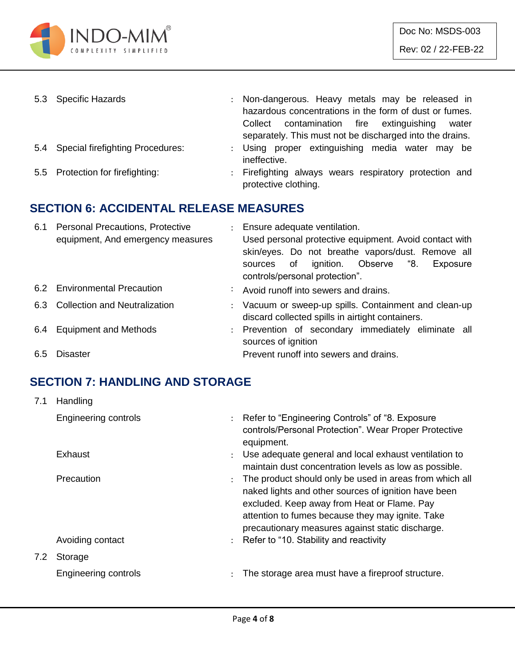

| 5.3 Specific Hazards                 | : Non-dangerous. Heavy metals may be released in<br>hazardous concentrations in the form of dust or fumes.<br>Collect contamination fire extinguishing<br>water<br>separately. This must not be discharged into the drains. |
|--------------------------------------|-----------------------------------------------------------------------------------------------------------------------------------------------------------------------------------------------------------------------------|
| 5.4 Special firefighting Procedures: | : Using proper extinguishing media water may be<br>ineffective.                                                                                                                                                             |
| 5.5 Protection for firefighting:     | : Firefighting always wears respiratory protection and<br>protective clothing.                                                                                                                                              |

### **SECTION 6: ACCIDENTAL RELEASE MEASURES**

| 6.1 | <b>Personal Precautions, Protective</b><br>equipment, And emergency measures | : Ensure adequate ventilation.<br>Used personal protective equipment. Avoid contact with<br>skin/eyes. Do not breathe vapors/dust. Remove all<br>sources of ignition. Observe "8.<br>Exposure<br>controls/personal protection". |
|-----|------------------------------------------------------------------------------|---------------------------------------------------------------------------------------------------------------------------------------------------------------------------------------------------------------------------------|
|     | 6.2 Environmental Precaution                                                 | : Avoid runoff into sewers and drains.                                                                                                                                                                                          |
|     | 6.3 Collection and Neutralization                                            | : Vacuum or sweep-up spills. Containment and clean-up<br>discard collected spills in airtight containers.                                                                                                                       |
| 6.4 | <b>Equipment and Methods</b>                                                 | : Prevention of secondary immediately eliminate all<br>sources of ignition                                                                                                                                                      |
| 6.5 | Disaster                                                                     | Prevent runoff into sewers and drains.                                                                                                                                                                                          |

# **SECTION 7: HANDLING AND STORAGE**

| 7.1 | Handling             |                      |                                                                                                                                                                                                                                                                        |
|-----|----------------------|----------------------|------------------------------------------------------------------------------------------------------------------------------------------------------------------------------------------------------------------------------------------------------------------------|
|     | Engineering controls |                      | : Refer to "Engineering Controls" of "8. Exposure<br>controls/Personal Protection". Wear Proper Protective<br>equipment.                                                                                                                                               |
|     | Exhaust              | $\ddot{\phantom{0}}$ | Use adequate general and local exhaust ventilation to<br>maintain dust concentration levels as low as possible.                                                                                                                                                        |
|     | <b>Precaution</b>    |                      | The product should only be used in areas from which all<br>naked lights and other sources of ignition have been<br>excluded. Keep away from Heat or Flame. Pay<br>attention to fumes because they may ignite. Take<br>precautionary measures against static discharge. |
|     | Avoiding contact     |                      | : Refer to "10. Stability and reactivity                                                                                                                                                                                                                               |
| 7.2 | Storage              |                      |                                                                                                                                                                                                                                                                        |
|     | Engineering controls | $\ddot{\phantom{a}}$ | The storage area must have a fireproof structure.                                                                                                                                                                                                                      |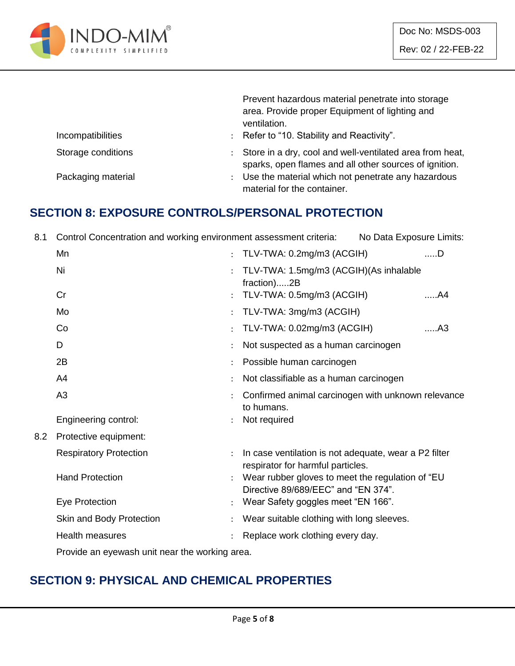

|                    | Prevent hazardous material penetrate into storage<br>area. Provide proper Equipment of lighting and<br>ventilation. |
|--------------------|---------------------------------------------------------------------------------------------------------------------|
| Incompatibilities  | : Refer to "10. Stability and Reactivity".                                                                          |
| Storage conditions | Store in a dry, cool and well-ventilated area from heat,<br>sparks, open flames and all other sources of ignition.  |
| Packaging material | Use the material which not penetrate any hazardous<br>material for the container.                                   |

#### **SECTION 8: EXPOSURE CONTROLS/PERSONAL PROTECTION**

8.1 Control Concentration and working environment assessment criteria: No Data Exposure Limits:

|     | Mn                            | $\ddot{\phantom{a}}$ | TLV-TWA: 0.2mg/m3 (ACGIH)                                                                  | $$ D           |
|-----|-------------------------------|----------------------|--------------------------------------------------------------------------------------------|----------------|
|     | Ni                            | ٠                    | TLV-TWA: 1.5mg/m3 (ACGIH)(As inhalable<br>fraction)2B                                      |                |
|     | Cr                            |                      | TLV-TWA: 0.5mg/m3 (ACGIH)                                                                  | A4             |
|     | Mo                            |                      | TLV-TWA: 3mg/m3 (ACGIH)                                                                    |                |
|     | Co                            |                      | TLV-TWA: 0.02mg/m3 (ACGIH)                                                                 | A <sub>3</sub> |
|     | D                             |                      | Not suspected as a human carcinogen                                                        |                |
|     | 2B                            |                      | Possible human carcinogen                                                                  |                |
|     | A4                            |                      | Not classifiable as a human carcinogen                                                     |                |
|     | A3                            |                      | Confirmed animal carcinogen with unknown relevance<br>to humans.                           |                |
|     | Engineering control:          |                      | Not required                                                                               |                |
| 8.2 | Protective equipment:         |                      |                                                                                            |                |
|     | <b>Respiratory Protection</b> |                      | In case ventilation is not adequate, wear a P2 filter<br>respirator for harmful particles. |                |
|     | <b>Hand Protection</b>        |                      | Wear rubber gloves to meet the regulation of "EU<br>Directive 89/689/EEC" and "EN 374".    |                |
|     | Eye Protection                |                      | Wear Safety goggles meet "EN 166".                                                         |                |
|     | Skin and Body Protection      |                      | Wear suitable clothing with long sleeves.                                                  |                |
|     | <b>Health measures</b>        |                      | Replace work clothing every day.                                                           |                |
|     |                               |                      |                                                                                            |                |

Provide an eyewash unit near the working area.

# **SECTION 9: PHYSICAL AND CHEMICAL PROPERTIES**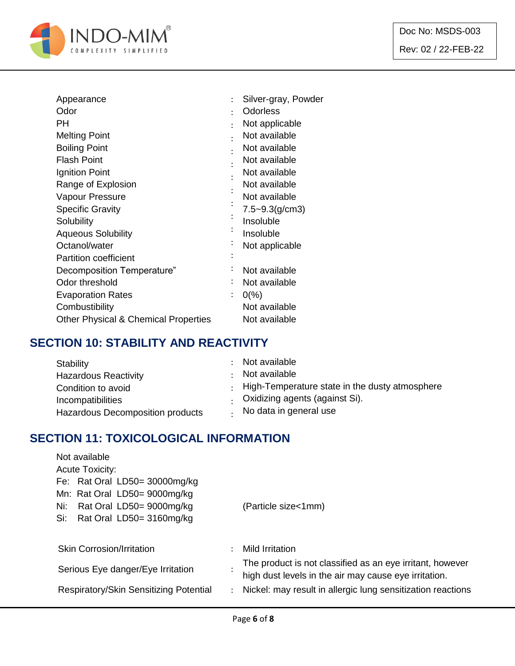

| Appearance                                      |                | Silver-gray, Powder |
|-------------------------------------------------|----------------|---------------------|
| Odor                                            | ٠              | <b>Odorless</b>     |
| РH                                              |                | Not applicable      |
| <b>Melting Point</b>                            |                | Not available       |
| <b>Boiling Point</b>                            |                | Not available       |
| <b>Flash Point</b>                              |                | Not available       |
| Ignition Point                                  |                | Not available       |
| Range of Explosion                              |                | Not available       |
| Vapour Pressure                                 |                | Not available       |
| <b>Specific Gravity</b>                         |                | $7.5 - 9.3$ (g/cm3) |
| Solubility                                      |                | Insoluble           |
| <b>Aqueous Solubility</b>                       |                | Insoluble           |
| Octanol/water                                   |                | Not applicable      |
| <b>Partition coefficient</b>                    |                |                     |
| Decomposition Temperature"                      |                | Not available       |
| Odor threshold                                  |                | Not available       |
| <b>Evaporation Rates</b>                        | $\ddot{\cdot}$ | $0\%$               |
| Combustibility                                  |                | Not available       |
| <b>Other Physical &amp; Chemical Properties</b> |                | Not available       |
|                                                 |                |                     |

## **SECTION 10: STABILITY AND REACTIVITY**

| Stability                        | : Not available                                        |
|----------------------------------|--------------------------------------------------------|
| <b>Hazardous Reactivity</b>      | Not available                                          |
| Condition to avoid               | $\cdot$ High-Temperature state in the dusty atmosphere |
| Incompatibilities                | . Oxidizing agents (against Si).                       |
| Hazardous Decomposition products | No data in general use                                 |

## **SECTION 11: TOXICOLOGICAL INFORMATION**

| Not available<br><b>Acute Toxicity:</b>                                                            |  |                                                                                                                    |  |  |  |
|----------------------------------------------------------------------------------------------------|--|--------------------------------------------------------------------------------------------------------------------|--|--|--|
| Fe: Rat Oral LD50= 30000mg/kg                                                                      |  |                                                                                                                    |  |  |  |
| Mn: Rat Oral LD50= 9000mg/kg<br>Rat Oral LD50= 9000mg/kg<br>Ni:<br>Rat Oral LD50= 3160mg/kg<br>Si: |  | (Particle size<1mm)                                                                                                |  |  |  |
| <b>Skin Corrosion/Irritation</b>                                                                   |  | Mild Irritation                                                                                                    |  |  |  |
| Serious Eye danger/Eye Irritation                                                                  |  | The product is not classified as an eye irritant, however<br>high dust levels in the air may cause eye irritation. |  |  |  |
| Respiratory/Skin Sensitizing Potential<br>$\ddot{\phantom{0}}$                                     |  | Nickel: may result in allergic lung sensitization reactions                                                        |  |  |  |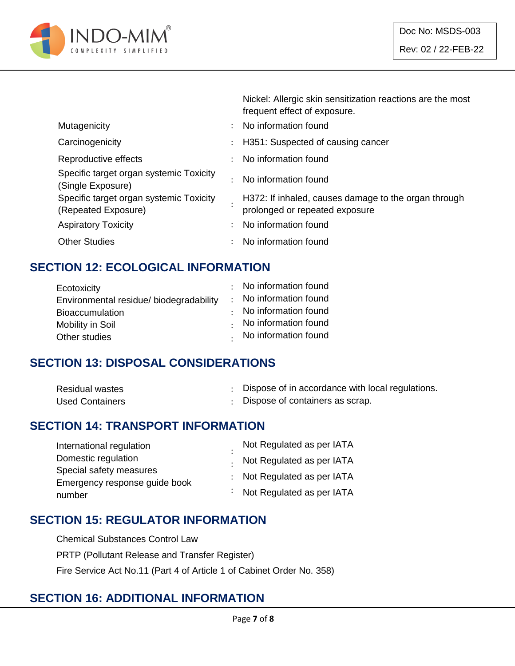

Nickel: Allergic skin sensitization reactions are the most

|                                                                |                      | frequent effect of exposure.                                                           |
|----------------------------------------------------------------|----------------------|----------------------------------------------------------------------------------------|
| Mutagenicity                                                   | $\mathcal{L}$        | No information found                                                                   |
| Carcinogenicity                                                |                      | : H351: Suspected of causing cancer                                                    |
| Reproductive effects                                           |                      | : No information found                                                                 |
| Specific target organ systemic Toxicity<br>(Single Exposure)   |                      | No information found                                                                   |
| Specific target organ systemic Toxicity<br>(Repeated Exposure) |                      | H372: If inhaled, causes damage to the organ through<br>prolonged or repeated exposure |
| <b>Aspiratory Toxicity</b>                                     | $\ddot{\phantom{0}}$ | No information found                                                                   |
| <b>Other Studies</b>                                           | ÷                    | No information found                                                                   |
|                                                                |                      |                                                                                        |

## **SECTION 12: ECOLOGICAL INFORMATION**

| : No information found       |
|------------------------------|
| : No information found       |
| $\cdot$ No information found |
| No information found         |
| . No information found       |
|                              |

### **SECTION 13: DISPOSAL CONSIDERATIONS**

| <b>Residual wastes</b> | Dispose of in accordance with local regulations. |
|------------------------|--------------------------------------------------|
| <b>Used Containers</b> | Dispose of containers as scrap.                  |

#### **SECTION 14: TRANSPORT INFORMATION**

| International regulation      | Not Regulated as per IATA   |
|-------------------------------|-----------------------------|
| Domestic regulation           | . Not Regulated as per IATA |
| Special safety measures       | : Not Regulated as per IATA |
| Emergency response guide book |                             |
| number                        | Not Regulated as per IATA   |

### **SECTION 15: REGULATOR INFORMATION**

Chemical Substances Control Law PRTP (Pollutant Release and Transfer Register) Fire Service Act No.11 (Part 4 of Article 1 of Cabinet Order No. 358)

#### **SECTION 16: ADDITIONAL INFORMATION**